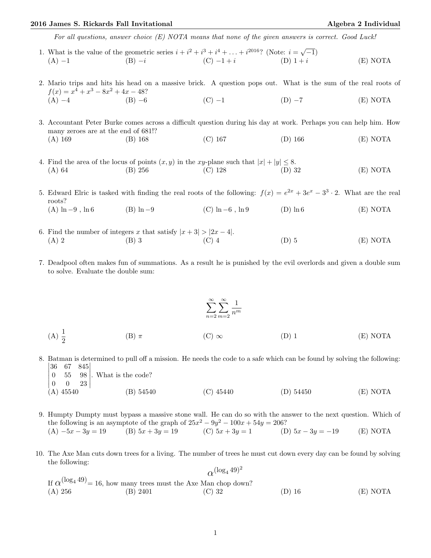## 2016 James S. Rickards Fall Invitational and Algebra 2 Individual Algebra 2 Individual

For all questions, answer choice (E) NOTA means that none of the given answers is correct. Good Luck!

- 1. What is the value of the geometric series  $i + i^2 + i^3 + i^4 + ... + i^{2016}$ ? (Note:  $i = \sqrt{-1}$ ) (A) −1 (B) −i (C) −1 + i (D) 1 + i (E) NOTA
- 2. Mario trips and hits his head on a massive brick. A question pops out. What is the sum of the real roots of  $f(x) = x^4 + x^3 - 8x^2 + 4x - 48$ ? (A) −4 (B) −6 (C) −1 (D) −7 (E) NOTA
- 3. Accountant Peter Burke comes across a difficult question during his day at work. Perhaps you can help him. How many zeroes are at the end of 681!? (A) 169 (B) 168 (C) 167 (D) 166 (E) NOTA
- 4. Find the area of the locus of points  $(x, y)$  in the xy-plane such that  $|x| + |y| \le 8$ . (A) 64 (B) 256 (C) 128 (D) 32 (E) NOTA

5. Edward Elric is tasked with finding the real roots of the following:  $f(x) = e^{2x} + 3e^x - 3^3 \cdot 2$ . What are the real roots? (A)  $\ln -9$ ,  $\ln 6$  (B)  $\ln -9$  (C)  $\ln -6$ ,  $\ln 9$  (D)  $\ln 6$  (E) NOTA

- 6. Find the number of integers x that satisfy  $|x+3| > |2x-4|$ . (A) 2 (B) 3 (C) 4 (D) 5 (E) NOTA
- 7. Deadpool often makes fun of summations. As a result he is punished by the evil overlords and given a double sum to solve. Evaluate the double sum:

$$
\sum_{n=2}^{\infty} \sum_{m=2}^{\infty} \frac{1}{n^m}
$$
\n(A)  $\frac{1}{2}$  (B)  $\pi$  (C)  $\infty$  (D) 1 (E) NOTA

- 8. Batman is determined to pull off a mission. He needs the code to a safe which can be found by solving the following:  $\begin{vmatrix} 36 & 67 & 845 \\ 8 & 55 & 88 \end{vmatrix}$  $\Bigg\vert$ 
	- $\overline{\phantom{a}}$  $\overline{\phantom{a}}$  $\overline{\phantom{a}}$  $(A)$  45540 0 55 98  $0 \quad 0 \quad 23$  . What is the code?  $\overline{\phantom{a}}$  $\mid$ (A) 45540 (B) 54540 (C) 45440 (D) 54450 (E) NOTA
- 9. Humpty Dumpty must bypass a massive stone wall. He can do so with the answer to the next question. Which of the following is an asymptote of the graph of  $25x^2 - 9y^2 - 100x + 54y = 206$ ? (A)  $-5x - 3y = 19$  (B)  $5x + 3y = 19$  (C)  $5x + 3y = 1$  (D)  $5x - 3y = -19$  (E) NOTA
- 10. The Axe Man cuts down trees for a living. The number of trees he must cut down every day can be found by solving the following:  $(\log 4.49)^2$

|         |                                                                             | $\alpha^{(\log_4 49)^2}$ |          |          |
|---------|-----------------------------------------------------------------------------|--------------------------|----------|----------|
|         | If $\alpha^{(\log_4 49)} = 16$ , how many trees must the Axe Man chop down? |                          |          |          |
| (A) 256 | (B) 2401                                                                    | $(C)$ 32                 | $(D)$ 16 | (E) NOTA |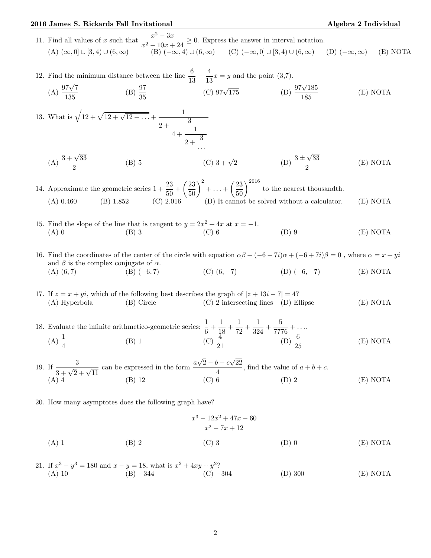## 2016 James S. Rickards Fall Invitational Algebra 2 Individual Algebra 2 Individual

(E) NOTA

11. Find all values of x such that  $\frac{x^2 - 3x}{x^2 - 3x}$  $\frac{x}{x^2-10x+24} \geq 0$ . Express the answer in interval notation.  $(A)$   $(\infty, 0]$   $\cup$   $[3, 4)$   $\cup$   $(6, \infty)$   $(B)$   $(-\infty, 4)$   $\cup$   $(6, \infty)$   $(C)$   $(-\infty, 0]$   $\cup$   $[3, 4)$   $\cup$   $(6, \infty)$   $(C)$   $(-\infty, \infty)$   $(C)$   $(-\infty, \infty)$   $(C)$   $(-\infty, \infty)$ 

12. Find the minimum distance between the line  $\frac{6}{13} - \frac{4}{13}$  $\frac{1}{13}x = y$  and the point (3,7).  $(A) \frac{97\sqrt{7}}{135}$  $\frac{7\sqrt{7}}{135}$  (B)  $\frac{97}{35}$   $\qquad \qquad$   $\qquad$   $\qquad$   $\qquad$   $\qquad$   $\qquad$   $\qquad$   $\qquad$   $\qquad$   $\qquad$   $\qquad$   $\qquad$   $\qquad$   $\qquad$   $\qquad$   $\qquad$   $\qquad$   $\qquad$   $\qquad$   $\qquad$   $\qquad$   $\qquad$   $\qquad$   $\qquad$   $\qquad$   $\qquad$   $\qquad$   $\qquad$   $\qquad$   $\qquad$   $\qquad$ 

13. What is 
$$
\sqrt{12 + \sqrt{12 + \sqrt{12 + \dots}}} + \frac{1}{2 + \frac{3}{4 + \frac{1}{2 + \frac{3}{\dots}}}}
$$

 $(A) \frac{3+\sqrt{33}}{2}$ 2 (B) 5 (C)  $3 + \sqrt{2}$  (D)  $\frac{3 \pm \sqrt{2}}{2}$ 33 2 (E) NOTA

14. Approximate the geometric series  $1 + \frac{23}{50} + \left(\frac{23}{50}\right)^2 + \ldots + \left(\frac{23}{50}\right)^{2016}$  to the nearest thousandth. (A) 0.460 (B) 1.852 (C) 2.016 (D) It cannot be solved without a calculator. (E) NOTA

- 15. Find the slope of the line that is tangent to  $y = 2x^2 + 4x$  at  $x = -1$ . (A) 0 (B) 3 (C) 6 (D) 9 (E) NOTA
- 16. Find the coordinates of the center of the circle with equation  $\alpha\beta + (-6 7i)\alpha + (-6 + 7i)\beta = 0$ , where  $\alpha = x + yi$ and  $\beta$  is the complex conjugate of  $\alpha$ . (A) (6, 7) (B)  $(-6, 7)$  (C)  $(6, -7)$  (D)  $(-6, -7)$  (E) NOTA

17. If  $z = x + yi$ , which of the following best describes the graph of  $|z + 13i - 7| = 4$ ? (A) Hyperbola (B) Circle (C) 2 intersecting lines (D) Ellipse (E) NOTA

18. Evaluate the infinite arithmetico-geometric series:  $\frac{1}{6} + \frac{1}{18}$  $\frac{1}{18} + \frac{1}{72}$  $\frac{1}{72} + \frac{1}{32}$  $\frac{1}{324} + \frac{5}{777}$  $\frac{6}{7776} + \ldots$ (A)  $\frac{1}{4}$  (B) 1 (C)  $\frac{\frac{3}{4}}{21}$  (D)  $\frac{6}{25}$ (E) NOTA

19. If  $\frac{3}{3+\sqrt{2}+\sqrt{11}}$  can be expressed in the form  $\frac{a}{3}$ √  $2-b-c$ √ 22  $\frac{b}{4}$ , find the value of  $a + b + c$ . (A) 4 (B) 12 (C) 6 (D) 2 (E) NOTA

20. How many asymptotes does the following graph have?

$$
\frac{x^3 - 12x^2 + 47x - 60}{x^2 - 7x + 12}
$$
\n(A) 1\n(B) 2\n(C) 3\n(D) 0\n(E) NOTA

21. If  $x^3 - y^3 = 180$  and  $x - y = 18$ , what is  $x^2 + 4xy + y^2$ ? (A) 10 (B) −344 (C) −304 (D) 300 (E) NOTA